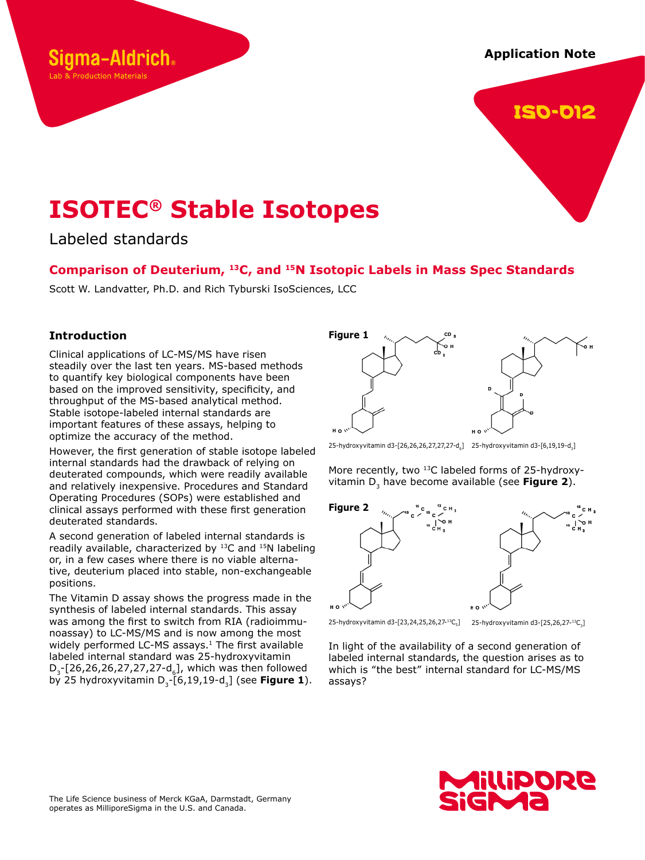# **Application Note**



# **ISOTEC® Stable Isotopes**

Labeled standards

iama-Aldrich.

Lab & Production Materials

# **Comparison of Deuterium, 13C, and 15N Isotopic Labels in Mass Spec Standards**

Scott W. Landvatter, Ph.D. and Rich Tyburski IsoSciences, LCC

## **Introduction**

Clinical applications of LC-MS/MS have risen steadily over the last ten years. MS-based methods to quantify key biological components have been based on the improved sensitivity, specificity, and throughput of the MS-based analytical method. Stable isotope-labeled internal standards are important features of these assays, helping to optimize the accuracy of the method.

However, the first generation of stable isotope labeled internal standards had the drawback of relying on deuterated compounds, which were readily available and relatively inexpensive. Procedures and Standard Operating Procedures (SOPs) were established and clinical assays performed with these first generation deuterated standards.

A second generation of labeled internal standards is readily available, characterized by <sup>13</sup>C and <sup>15</sup>N labeling or, in a few cases where there is no viable alternative, deuterium placed into stable, non-exchangeable positions.

The Vitamin D assay shows the progress made in the synthesis of labeled internal standards. This assay was among the first to switch from RIA (radioimmunoassay) to LC-MS/MS and is now among the most widely performed LC-MS assays.<sup>1</sup> The first available labeled internal standard was 25-hydroxyvitamin  $D_{3}$ -[26,26,26,27,27,27-d<sub>6</sub>], which was then followed by 25 hydroxyvitamin D<sub>3</sub>-[6,19,19-d<sub>3</sub>] (see **Figure 1**).



25-hydroxyvitamin d3-[26,26,26,27,27,27-d<sub>6</sub>] 25-hydroxyvitamin d3-[6,19,19-d<sub>3</sub>]

More recently, two <sup>13</sup>C labeled forms of 25-hydroxyvitamin D<sub>3</sub> have become available (see Figure 2).



25-hydroxyvitamin d3-[23,24,25,26,27-13C<sub>5</sub>] 25-hydroxyvitamin d3-[25,26,27-13C<sub>3</sub>]

In light of the availability of a second generation of labeled internal standards, the question arises as to which is "the best" internal standard for LC-MS/MS assays?

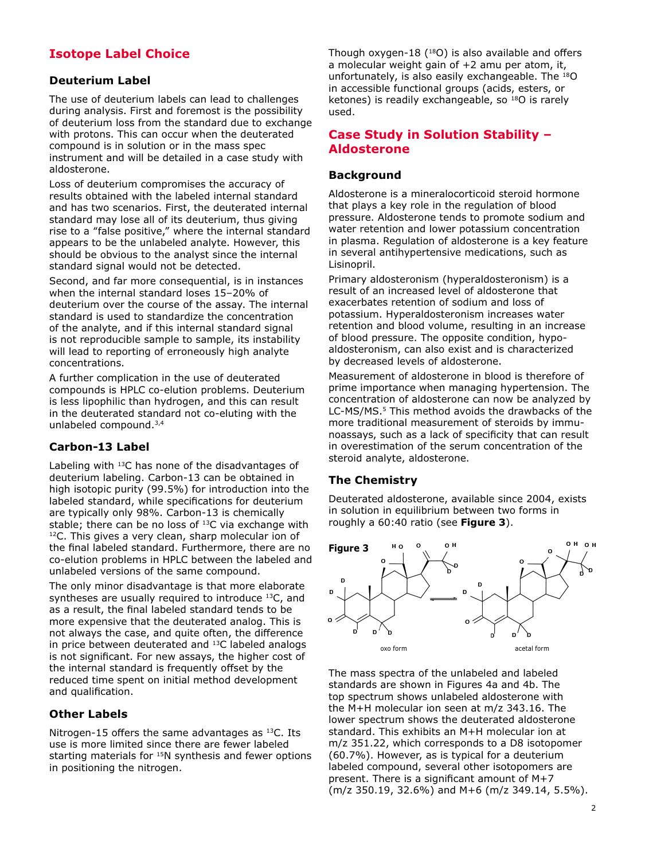# **Isotope Label Choice**

## **Deuterium Label**

The use of deuterium labels can lead to challenges during analysis. First and foremost is the possibility of deuterium loss from the standard due to exchange with protons. This can occur when the deuterated compound is in solution or in the mass spec instrument and will be detailed in a case study with aldosterone.

Loss of deuterium compromises the accuracy of results obtained with the labeled internal standard and has two scenarios. First, the deuterated internal standard may lose all of its deuterium, thus giving rise to a "false positive," where the internal standard appears to be the unlabeled analyte. However, this should be obvious to the analyst since the internal standard signal would not be detected.

Second, and far more consequential, is in instances when the internal standard loses 15–20% of deuterium over the course of the assay. The internal standard is used to standardize the concentration of the analyte, and if this internal standard signal is not reproducible sample to sample, its instability will lead to reporting of erroneously high analyte concentrations.

A further complication in the use of deuterated compounds is HPLC co-elution problems. Deuterium is less lipophilic than hydrogen, and this can result in the deuterated standard not co-eluting with the unlabeled compound.3,4

# **Carbon-13 Label**

Labeling with  $^{13}$ C has none of the disadvantages of deuterium labeling. Carbon-13 can be obtained in high isotopic purity (99.5%) for introduction into the labeled standard, while specifications for deuterium are typically only 98%. Carbon-13 is chemically stable; there can be no loss of <sup>13</sup>C via exchange with 12C. This gives a very clean, sharp molecular ion of the final labeled standard. Furthermore, there are no co-elution problems in HPLC between the labeled and unlabeled versions of the same compound.

The only minor disadvantage is that more elaborate syntheses are usually required to introduce  $^{13}C$ , and as a result, the final labeled standard tends to be more expensive that the deuterated analog. This is not always the case, and quite often, the difference in price between deuterated and 13C labeled analogs is not significant. For new assays, the higher cost of the internal standard is frequently offset by the reduced time spent on initial method development and qualification.

# **Other Labels**

Nitrogen-15 offers the same advantages as  $^{13}$ C. Its use is more limited since there are fewer labeled starting materials for <sup>15</sup>N synthesis and fewer options in positioning the nitrogen.

Though oxygen-18  $(^{18}O)$  is also available and offers a molecular weight gain of +2 amu per atom, it, unfortunately, is also easily exchangeable. The 18O in accessible functional groups (acids, esters, or ketones) is readily exchangeable, so <sup>18</sup>O is rarely used.

# **Case Study in Solution Stability – Aldosterone**

#### **Background**

Aldosterone is a mineralocorticoid steroid hormone that plays a key role in the regulation of blood pressure. Aldosterone tends to promote sodium and water retention and lower potassium concentration in plasma. Regulation of aldosterone is a key feature in several antihypertensive medications, such as Lisinopril.

Primary aldosteronism (hyperaldosteronism) is a result of an increased level of aldosterone that exacerbates retention of sodium and loss of potassium. Hyperaldosteronism increases water retention and blood volume, resulting in an increase of blood pressure. The opposite condition, hypoaldosteronism, can also exist and is characterized by decreased levels of aldosterone.

Measurement of aldosterone in blood is therefore of prime importance when managing hypertension. The concentration of aldosterone can now be analyzed by LC-MS/MS.5 This method avoids the drawbacks of the more traditional measurement of steroids by immunoassays, such as a lack of specificity that can result in overestimation of the serum concentration of the steroid analyte, aldosterone.

# **The Chemistry**

Deuterated aldosterone, available since 2004, exists in solution in equilibrium between two forms in roughly a 60:40 ratio (see **Figure 3**).



The mass spectra of the unlabeled and labeled standards are shown in Figures 4a and 4b. The top spectrum shows unlabeled aldosterone with the M+H molecular ion seen at m/z 343.16. The lower spectrum shows the deuterated aldosterone standard. This exhibits an M+H molecular ion at m/z 351.22, which corresponds to a D8 isotopomer (60.7%). However, as is typical for a deuterium labeled compound, several other isotopomers are present. There is a significant amount of M+7 (m/z 350.19, 32.6%) and M+6 (m/z 349.14, 5.5%).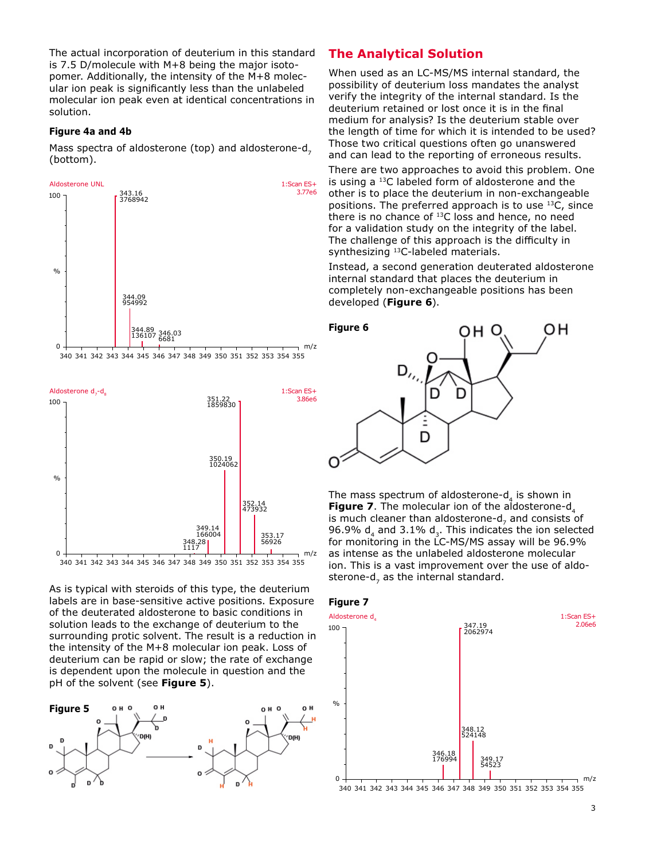The actual incorporation of deuterium in this standard is 7.5 D/molecule with M+8 being the major isotopomer. Additionally, the intensity of the M+8 molecular ion peak is significantly less than the unlabeled molecular ion peak even at identical concentrations in solution.

#### **Figure 4a and 4b**

Mass spectra of aldosterone (top) and aldosterone-d, (bottom).





340 341 342 343 344 345 346 347 348 349 350 351 352 353 354 355

As is typical with steroids of this type, the deuterium labels are in base-sensitive active positions. Exposure of the deuterated aldosterone to basic conditions in solution leads to the exchange of deuterium to the surrounding protic solvent. The result is a reduction in the intensity of the M+8 molecular ion peak. Loss of deuterium can be rapid or slow; the rate of exchange is dependent upon the molecule in question and the pH of the solvent (see **Figure 5**).



# **The Analytical Solution**

When used as an LC-MS/MS internal standard, the possibility of deuterium loss mandates the analyst verify the integrity of the internal standard. Is the deuterium retained or lost once it is in the final medium for analysis? Is the deuterium stable over the length of time for which it is intended to be used? Those two critical questions often go unanswered and can lead to the reporting of erroneous results.

There are two approaches to avoid this problem. One is using a 13C labeled form of aldosterone and the other is to place the deuterium in non-exchangeable positions. The preferred approach is to use 13C, since there is no chance of  $^{13}$ C loss and hence, no need for a validation study on the integrity of the label. The challenge of this approach is the difficulty in synthesizing 13C-labeled materials.

Instead, a second generation deuterated aldosterone internal standard that places the deuterium in completely non-exchangeable positions has been developed (**Figure 6**).



The mass spectrum of aldosterone- $d<sub>4</sub>$  is shown in **Figure 7**. The molecular ion of the aldosterone-d<sub>4</sub> is much cleaner than aldosterone-d, and consists of 96.9%  $d_4$  and 3.1%  $d_3$ . This indicates the ion selected for monitoring in the LC-MS/MS assay will be 96.9% as intense as the unlabeled aldosterone molecular ion. This is a vast improvement over the use of aldosterone-d, as the internal standard.





3